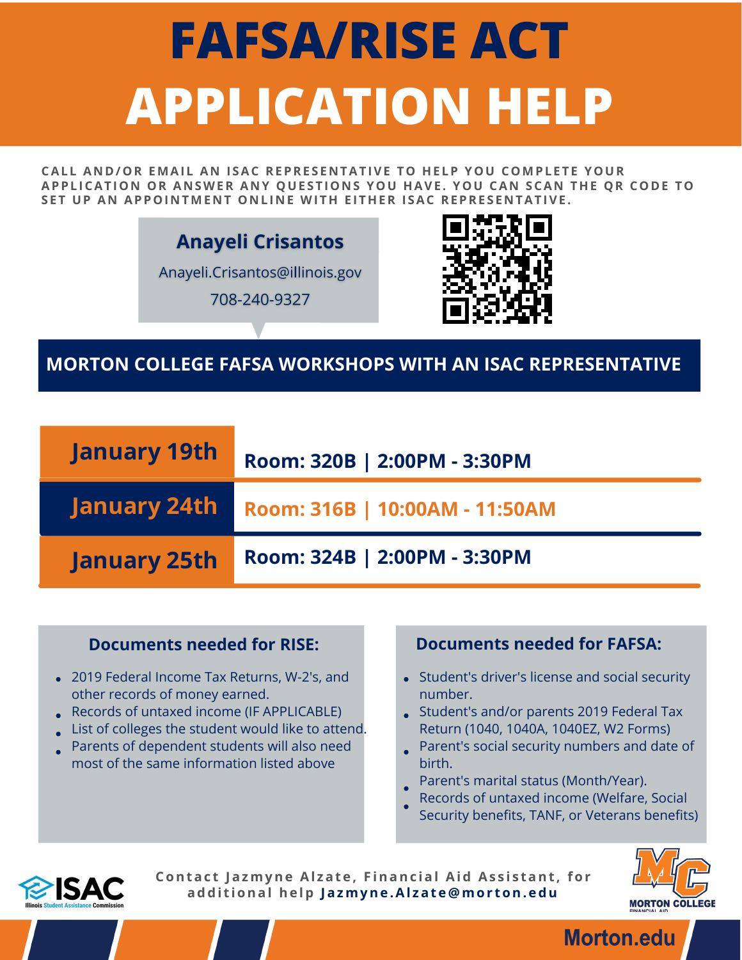# **FAFSA/RISE ACT APPLICATION HELP**

CALL AND/OR FMAIL AN ISAC REPRESENTATIVE TO HELP YOU COMPLETE YOUR APPLICATION OR ANSWER ANY OUESTIONS YOU HAVE. YOU CAN SCAN THE OR CODE TO SET UP AN APPOINTMENT ONLINE WITH EITHER ISAC REPRESENTATIVE.

**Anayeli Crisantos** 

Anayeli.Crisantos@illinois.gov

708-240-9327



## **MORTON COLLEGE FAFSA WORKSHOPS WITH AN ISAC REPRESENTATIVE**

| <b>January 19th</b> | Room: 320B   2:00PM - 3:30PM   |
|---------------------|--------------------------------|
| January 24th        | Room: 316B   10:00AM - 11:50AM |
| <b>January 25th</b> | Room: 324B   2:00PM - 3:30PM   |

- 2019 Federal Income Tax Returns, W-2's, and other records of money earned.
- Records of untaxed income (IF APPLICABLE)
- List of colleges the student would like to attend.
- Parents of dependent students will also need most of the same information listed above

### **Documents needed for RISE: Documents needed for FAFSA:**

- Student's driver's license and social security number.
- Student's and/or parents 2019 Federal Tax Return (1040, 1040A, 1040EZ, W2 Forms)
- Parent's social security numbers and date of birth.
- Parent's marital status (Month/Year).
- Records of untaxed income (Welfare, Social
- Security benefits, TANF, or Veterans benefits)



**Contac t Jazmyne Al zat e , F inanc ial Aid As s i s tant , for addi t ional he lp Jazmyne .Al zat e @mor ton. edu**



**Morton.edu**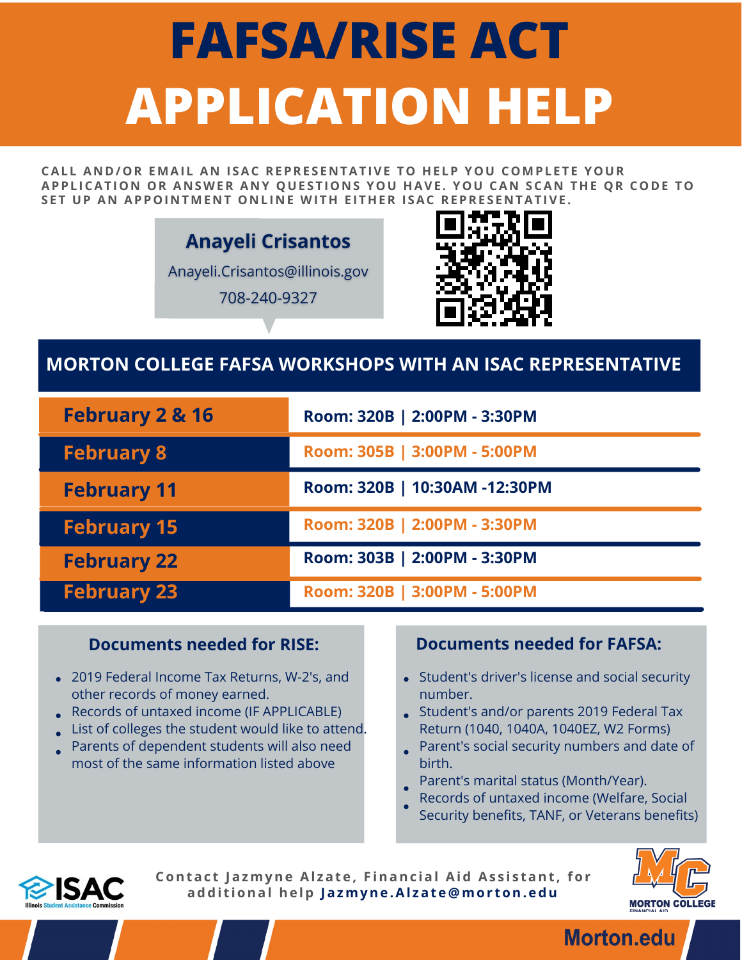# **FAFSA/RISE ACT APPLICATION HELP**

CALL AND/OR FMAIL AN ISAC REPRESENTATIVE TO HELP YOU COMPLETE YOUR APPLICATION OR ANSWER ANY OUESTIONS YOU HAVE. YOU CAN SCAN THE OR CODE TO SET UP AN APPOINTMENT ONLINE WITH EITHER ISAC REPRESENTATIVE.

## **Anayeli Crisantos**

Anayeli.Crisantos@illinois.gov

708-240-9327



## **MORTON COLLEGE FAFSA WORKSHOPS WITH AN ISAC REPRESENTATIVE**

| <b>February 2 &amp; 16</b> | Room: 320B   2:00PM - 3:30PM  |
|----------------------------|-------------------------------|
| <b>February 8</b>          | Room: 305B   3:00PM - 5:00PM  |
| <b>February 11</b>         | Room: 320B   10:30AM -12:30PM |
| <b>February 15</b>         | Room: 320B   2:00PM - 3:30PM  |
| <b>February 22</b>         | Room: 303B   2:00PM - 3:30PM  |
| <b>February 23</b>         | Room: 320B   3:00PM - 5:00PM  |

- 2019 Federal Income Tax Returns, W-2's, and other records of money earned.
- Records of untaxed income (IF APPLICABLE)
- List of colleges the student would like to attend.
- Parents of dependent students will also need most of the same information listed above

### **Documents needed for RISE: Documents needed for FAFSA:**

- Student's driver's license and social security number.
- Student's and/or parents 2019 Federal Tax Return (1040, 1040A, 1040EZ, W2 Forms)
- Parent's social security numbers and date of birth.
- Parent's marital status (Month/Year).
- Records of untaxed income (Welfare, Social
- Security benefits, TANF, or Veterans benefits)



**Contac t Jazmyne Al zat e , F inanc ial Aid As s i s tant , for addi t ional he lp Jazmyne .Al zat e @mor ton. edu**



**Morton.edu**